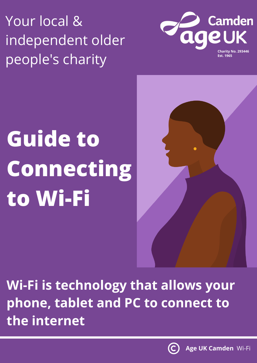Your local & independent older people's charity



## **Guide to Connecting to Wi-Fi**



**Wi-Fi is technology that allows your phone, tablet and PC to connect to the internet**

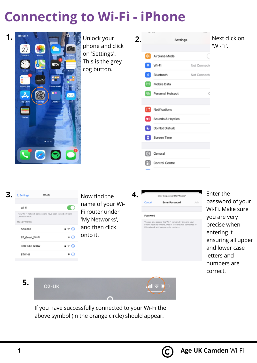## **Connecting to Wi-Fi - iPhone**





name of your Wi-Fi router under 'My Networks', and then click onto it.

|          | Enter the password for "Narnia"                                                                                                                                        |  |
|----------|------------------------------------------------------------------------------------------------------------------------------------------------------------------------|--|
| Cancel   | <b>Enter Password</b>                                                                                                                                                  |  |
|          |                                                                                                                                                                        |  |
| Password |                                                                                                                                                                        |  |
|          | You can also access this Wi-Fi network by bringing your<br>iPhone near any iPhone, iPad or Mac that has connected<br>the composition of the control of the composition |  |

password of your Wi-Fi. Make sure you are very precise when entering it ensuring all upper and lower case letters and numbers are correct.

**5.**

**02-UK** 

If you have successfully connected to your Wi-Fi the above symbol (in the orange circle) should appear.



 $\mathbf{u} \cdot \mathbf{v}$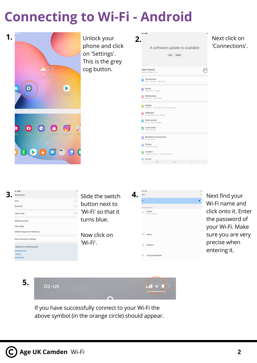## **Connecting to Wi-Fi - Android**





**5.**

**02-UK** 



If you have successfully connect to your Wi-Fi the above symbol (in the orange circle) should appear.